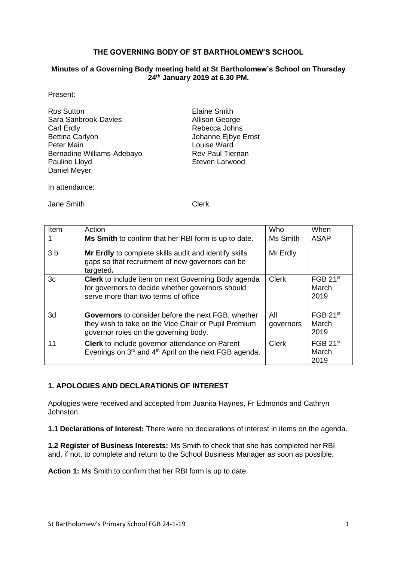## **THE GOVERNING BODY OF ST BARTHOLOMEW'S SCHOOL**

#### **Minutes of a Governing Body meeting held at St Bartholomew's School on Thursday 24 th January 2019 at 6.30 PM.**

Present:

| <b>Ros Sutton</b>          |
|----------------------------|
| Sara Sanbrook-Davies       |
| Carl Erdly                 |
| <b>Bettina Carlyon</b>     |
| Peter Main                 |
| Bernadine Williams-Adebayo |
| Pauline Lloyd              |
| Daniel Meyer               |

**Elaine Smith** Allison George Rebecca Johns Johanne Ejbye Ernst Louise Ward Rev Paul Tiernan Steven Larwood

In attendance:

Jane Smith Clerk

| Item           | Action                                                                                                                                                     | Who              | When                                  |
|----------------|------------------------------------------------------------------------------------------------------------------------------------------------------------|------------------|---------------------------------------|
|                | Ms Smith to confirm that her RBI form is up to date.                                                                                                       | Ms Smith         | <b>ASAP</b>                           |
| 3 <sub>b</sub> | Mr Erdly to complete skills audit and identify skills<br>gaps so that recruitment of new governors can be<br>targeted.                                     | Mr Erdly         |                                       |
| 3c             | <b>Clerk</b> to include item on next Governing Body agenda<br>for governors to decide whether governors should<br>serve more than two terms of office      | Clerk            | FGB 21 <sup>st</sup><br>March<br>2019 |
| 3d             | <b>Governors</b> to consider before the next FGB, whether<br>they wish to take on the Vice Chair or Pupil Premium<br>governor roles on the governing body. | All<br>governors | FGB 21 <sup>st</sup><br>March<br>2019 |
| 11             | <b>Clerk</b> to include governor attendance on Parent<br>Evenings on 3rd and 4 <sup>th</sup> April on the next FGB agenda.                                 | Clerk            | FGB 21 <sup>st</sup><br>March<br>2019 |

# **1. APOLOGIES AND DECLARATIONS OF INTEREST**

Apologies were received and accepted from Juanita Haynes, Fr Edmonds and Cathryn Johnston.

**1.1 Declarations of Interest:** There were no declarations of interest in items on the agenda.

**1.2 Register of Business Interests:** Ms Smith to check that she has completed her RBI and, if not, to complete and return to the School Business Manager as soon as possible.

**Action 1:** Ms Smith to confirm that her RBI form is up to date.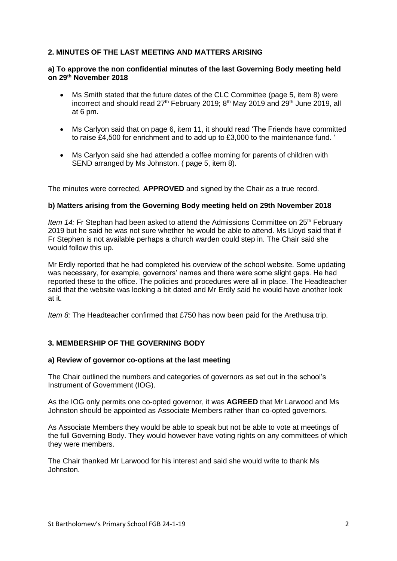# **2. MINUTES OF THE LAST MEETING AND MATTERS ARISING**

#### **a) To approve the non confidential minutes of the last Governing Body meeting held on 29th November 2018**

- Ms Smith stated that the future dates of the CLC Committee (page 5, item 8) were incorrect and should read  $27<sup>th</sup>$  February 2019; 8<sup>th</sup> May 2019 and  $29<sup>th</sup>$  June 2019, all at 6 pm.
- Ms Carlyon said that on page 6, item 11, it should read 'The Friends have committed to raise £4,500 for enrichment and to add up to £3,000 to the maintenance fund. '
- Ms Carlyon said she had attended a coffee morning for parents of children with SEND arranged by Ms Johnston. ( page 5, item 8).

The minutes were corrected, **APPROVED** and signed by the Chair as a true record.

#### **b) Matters arising from the Governing Body meeting held on 29th November 2018**

*Item 14:* Fr Stephan had been asked to attend the Admissions Committee on 25<sup>th</sup> February 2019 but he said he was not sure whether he would be able to attend. Ms Lloyd said that if Fr Stephen is not available perhaps a church warden could step in. The Chair said she would follow this up.

Mr Erdly reported that he had completed his overview of the school website. Some updating was necessary, for example, governors' names and there were some slight gaps. He had reported these to the office. The policies and procedures were all in place. The Headteacher said that the website was looking a bit dated and Mr Erdly said he would have another look at it.

*Item 8:* The Headteacher confirmed that £750 has now been paid for the Arethusa trip.

## **3. MEMBERSHIP OF THE GOVERNING BODY**

#### **a) Review of governor co-options at the last meeting**

The Chair outlined the numbers and categories of governors as set out in the school's Instrument of Government (IOG).

As the IOG only permits one co-opted governor, it was **AGREED** that Mr Larwood and Ms Johnston should be appointed as Associate Members rather than co-opted governors.

As Associate Members they would be able to speak but not be able to vote at meetings of the full Governing Body. They would however have voting rights on any committees of which they were members.

The Chair thanked Mr Larwood for his interest and said she would write to thank Ms Johnston.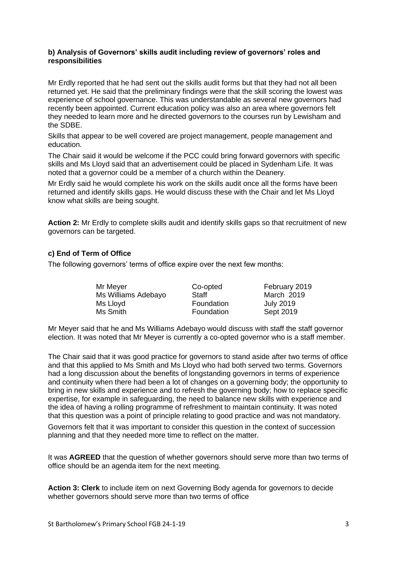#### **b) Analysis of Governors' skills audit including review of governors' roles and responsibilities**

Mr Erdly reported that he had sent out the skills audit forms but that they had not all been returned yet. He said that the preliminary findings were that the skill scoring the lowest was experience of school governance. This was understandable as several new governors had recently been appointed. Current education policy was also an area where governors felt they needed to learn more and he directed governors to the courses run by Lewisham and the SDBE.

Skills that appear to be well covered are project management, people management and education.

The Chair said it would be welcome if the PCC could bring forward governors with specific skills and Ms Lloyd said that an advertisement could be placed in Sydenham Life. It was noted that a governor could be a member of a church within the Deanery.

Mr Erdly said he would complete his work on the skills audit once all the forms have been returned and identify skills gaps. He would discuss these with the Chair and let Ms Lloyd know what skills are being sought.

**Action 2:** Mr Erdly to complete skills audit and identify skills gaps so that recruitment of new governors can be targeted.

## **c) End of Term of Office**

The following governors' terms of office expire over the next few months:

| Mr Meyer            | Co-opted   | February 2019    |
|---------------------|------------|------------------|
| Ms Williams Adebayo | Staff      | March 2019       |
| Ms Lloyd            | Foundation | <b>July 2019</b> |
| Ms Smith            | Foundation | Sept 2019        |

Mr Meyer said that he and Ms Williams Adebayo would discuss with staff the staff governor election. It was noted that Mr Meyer is currently a co-opted governor who is a staff member.

The Chair said that it was good practice for governors to stand aside after two terms of office and that this applied to Ms Smith and Ms Lloyd who had both served two terms. Governors had a long discussion about the benefits of longstanding governors in terms of experience and continuity when there had been a lot of changes on a governing body; the opportunity to bring in new skills and experience and to refresh the governing body; how to replace specific expertise, for example in safeguarding, the need to balance new skills with experience and the idea of having a rolling programme of refreshment to maintain continuity. It was noted that this question was a point of principle relating to good practice and was not mandatory.

Governors felt that it was important to consider this question in the context of succession planning and that they needed more time to reflect on the matter.

It was **AGREED** that the question of whether governors should serve more than two terms of office should be an agenda item for the next meeting.

**Action 3: Clerk** to include item on next Governing Body agenda for governors to decide whether governors should serve more than two terms of office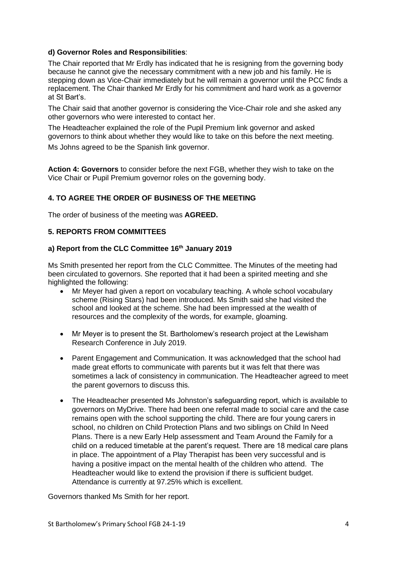# **d) Governor Roles and Responsibilities**:

The Chair reported that Mr Erdly has indicated that he is resigning from the governing body because he cannot give the necessary commitment with a new job and his family. He is stepping down as Vice-Chair immediately but he will remain a governor until the PCC finds a replacement. The Chair thanked Mr Erdly for his commitment and hard work as a governor at St Bart's.

The Chair said that another governor is considering the Vice-Chair role and she asked any other governors who were interested to contact her.

The Headteacher explained the role of the Pupil Premium link governor and asked governors to think about whether they would like to take on this before the next meeting.

Ms Johns agreed to be the Spanish link governor.

**Action 4: Governors** to consider before the next FGB, whether they wish to take on the Vice Chair or Pupil Premium governor roles on the governing body.

# **4. TO AGREE THE ORDER OF BUSINESS OF THE MEETING**

The order of business of the meeting was **AGREED.**

## **5. REPORTS FROM COMMITTEES**

#### **a) Report from the CLC Committee 16th January 2019**

Ms Smith presented her report from the CLC Committee. The Minutes of the meeting had been circulated to governors. She reported that it had been a spirited meeting and she highlighted the following:

- Mr Meyer had given a report on vocabulary teaching. A whole school vocabulary scheme (Rising Stars) had been introduced. Ms Smith said she had visited the school and looked at the scheme. She had been impressed at the wealth of resources and the complexity of the words, for example, gloaming.
- Mr Meyer is to present the St. Bartholomew's research project at the Lewisham Research Conference in July 2019.
- Parent Engagement and Communication. It was acknowledged that the school had made great efforts to communicate with parents but it was felt that there was sometimes a lack of consistency in communication. The Headteacher agreed to meet the parent governors to discuss this.
- The Headteacher presented Ms Johnston's safeguarding report, which is available to governors on MyDrive. There had been one referral made to social care and the case remains open with the school supporting the child. There are four young carers in school, no children on Child Protection Plans and two siblings on Child In Need Plans. There is a new Early Help assessment and Team Around the Family for a child on a reduced timetable at the parent's request. There are 18 medical care plans in place. The appointment of a Play Therapist has been very successful and is having a positive impact on the mental health of the children who attend. The Headteacher would like to extend the provision if there is sufficient budget. Attendance is currently at 97.25% which is excellent.

Governors thanked Ms Smith for her report.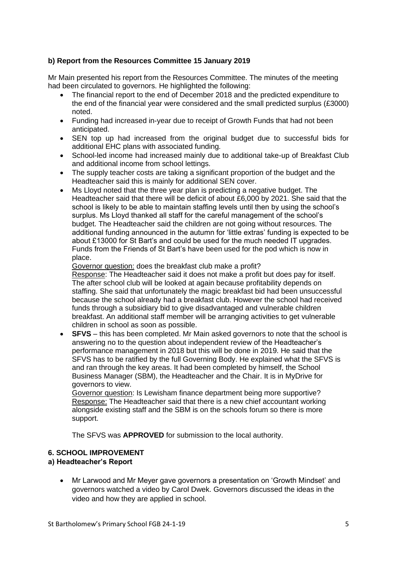# **b) Report from the Resources Committee 15 January 2019**

Mr Main presented his report from the Resources Committee. The minutes of the meeting had been circulated to governors. He highlighted the following:

- The financial report to the end of December 2018 and the predicted expenditure to the end of the financial year were considered and the small predicted surplus (£3000) noted.
- Funding had increased in-year due to receipt of Growth Funds that had not been anticipated.
- SEN top up had increased from the original budget due to successful bids for additional EHC plans with associated funding.
- School-led income had increased mainly due to additional take-up of Breakfast Club and additional income from school lettings.
- The supply teacher costs are taking a significant proportion of the budget and the Headteacher said this is mainly for additional SEN cover.
- Ms Lloyd noted that the three year plan is predicting a negative budget. The Headteacher said that there will be deficit of about £6,000 by 2021. She said that the school is likely to be able to maintain staffing levels until then by using the school's surplus. Ms Lloyd thanked all staff for the careful management of the school's budget. The Headteacher said the children are not going without resources. The additional funding announced in the autumn for 'little extras' funding is expected to be about £13000 for St Bart's and could be used for the much needed IT upgrades. Funds from the Friends of St Bart's have been used for the pod which is now in place.

Governor question: does the breakfast club make a profit?

Response: The Headteacher said it does not make a profit but does pay for itself. The after school club will be looked at again because profitability depends on staffing. She said that unfortunately the magic breakfast bid had been unsuccessful because the school already had a breakfast club. However the school had received funds through a subsidiary bid to give disadvantaged and vulnerable children breakfast. An additional staff member will be arranging activities to get vulnerable children in school as soon as possible.

• **SFVS** – this has been completed. Mr Main asked governors to note that the school is answering no to the question about independent review of the Headteacher's performance management in 2018 but this will be done in 2019. He said that the SFVS has to be ratified by the full Governing Body. He explained what the SFVS is and ran through the key areas. It had been completed by himself, the School Business Manager (SBM), the Headteacher and the Chair. It is in MyDrive for governors to view.

Governor question: Is Lewisham finance department being more supportive? Response: The Headteacher said that there is a new chief accountant working alongside existing staff and the SBM is on the schools forum so there is more support.

The SFVS was **APPROVED** for submission to the local authority.

## **6. SCHOOL IMPROVEMENT**

## **a) Headteacher's Report**

• Mr Larwood and Mr Meyer gave governors a presentation on 'Growth Mindset' and governors watched a video by Carol Dwek. Governors discussed the ideas in the video and how they are applied in school.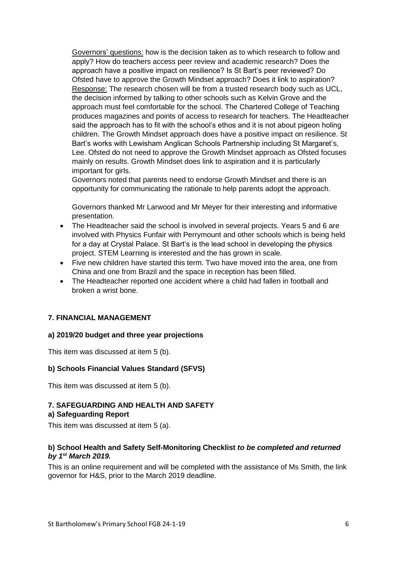Governors' questions: how is the decision taken as to which research to follow and apply? How do teachers access peer review and academic research? Does the approach have a positive impact on resilience? Is St Bart's peer reviewed? Do Ofsted have to approve the Growth Mindset approach? Does it link to aspiration? Response: The research chosen will be from a trusted research body such as UCL, the decision informed by talking to other schools such as Kelvin Grove and the approach must feel comfortable for the school. The Chartered College of Teaching produces magazines and points of access to research for teachers. The Headteacher said the approach has to fit with the school's ethos and it is not about pigeon holing children. The Growth Mindset approach does have a positive impact on resilience. St Bart's works with Lewisham Anglican Schools Partnership including St Margaret's, Lee. Ofsted do not need to approve the Growth Mindset approach as Ofsted focuses mainly on results. Growth Mindset does link to aspiration and it is particularly important for girls.

Governors noted that parents need to endorse Growth Mindset and there is an opportunity for communicating the rationale to help parents adopt the approach.

Governors thanked Mr Larwood and Mr Meyer for their interesting and informative presentation.

- The Headteacher said the school is involved in several projects. Years 5 and 6 are involved with Physics Funfair with Perrymount and other schools which is being held for a day at Crystal Palace. St Bart's is the lead school in developing the physics project. STEM Learning is interested and the has grown in scale.
- Five new children have started this term. Two have moved into the area, one from China and one from Brazil and the space in reception has been filled.
- The Headteacher reported one accident where a child had fallen in football and broken a wrist bone.

## **7. FINANCIAL MANAGEMENT**

#### **a) 2019/20 budget and three year projections**

This item was discussed at item 5 (b).

#### **b) Schools Financial Values Standard (SFVS)**

This item was discussed at item 5 (b).

# **7. SAFEGUARDING AND HEALTH AND SAFETY**

#### **a) Safeguarding Report**

This item was discussed at item 5 (a).

#### **b) School Health and Safety Self-Monitoring Checklist** *to be completed and returned by 1st March 2019.*

This is an online requirement and will be completed with the assistance of Ms Smith, the link governor for H&S, prior to the March 2019 deadline.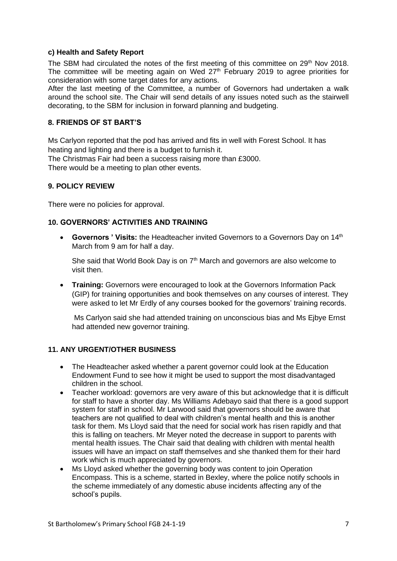#### **c) Health and Safety Report**

The SBM had circulated the notes of the first meeting of this committee on 29<sup>th</sup> Nov 2018. The committee will be meeting again on Wed  $27<sup>th</sup>$  February 2019 to agree priorities for consideration with some target dates for any actions.

After the last meeting of the Committee, a number of Governors had undertaken a walk around the school site. The Chair will send details of any issues noted such as the stairwell decorating, to the SBM for inclusion in forward planning and budgeting.

## **8. FRIENDS OF ST BART'S**

Ms Carlyon reported that the pod has arrived and fits in well with Forest School. It has heating and lighting and there is a budget to furnish it.

The Christmas Fair had been a success raising more than £3000.

There would be a meeting to plan other events.

#### **9. POLICY REVIEW**

There were no policies for approval.

## **10. GOVERNORS' ACTIVITIES AND TRAINING**

• **Governors ' Visits:** the Headteacher invited Governors to a Governors Day on 14<sup>th</sup> March from 9 am for half a day.

She said that World Book Day is on 7<sup>th</sup> March and governors are also welcome to visit then.

• **Training:** Governors were encouraged to look at the Governors Information Pack (GIP) for training opportunities and book themselves on any courses of interest. They were asked to let Mr Erdly of any courses booked for the governors' training records.

Ms Carlyon said she had attended training on unconscious bias and Ms Ejbye Ernst had attended new governor training.

#### **11. ANY URGENT/OTHER BUSINESS**

- The Headteacher asked whether a parent governor could look at the Education Endowment Fund to see how it might be used to support the most disadvantaged children in the school.
- Teacher workload: governors are very aware of this but acknowledge that it is difficult for staff to have a shorter day. Ms Williams Adebayo said that there is a good support system for staff in school. Mr Larwood said that governors should be aware that teachers are not qualified to deal with children's mental health and this is another task for them. Ms Lloyd said that the need for social work has risen rapidly and that this is falling on teachers. Mr Meyer noted the decrease in support to parents with mental health issues. The Chair said that dealing with children with mental health issues will have an impact on staff themselves and she thanked them for their hard work which is much appreciated by governors.
- Ms Lloyd asked whether the governing body was content to join Operation Encompass. This is a scheme, started in Bexley, where the police notify schools in the scheme immediately of any domestic abuse incidents affecting any of the school's pupils.